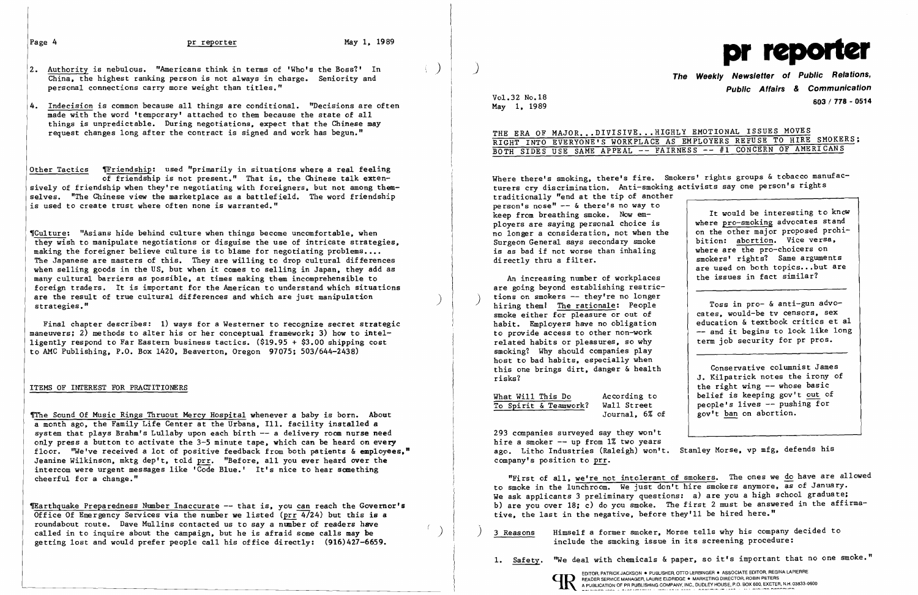

- $|2.$  Authority is nebulous. "Americans think in terms of 'Who's the Boss?' In China, the highest ranking person is not always in charge. Seniority and The Weekly Newsletter of Public Relations, personal connections carry more weight than titles."
- 4. Indecision is common because all things are conditional. "Decisions are often made with the word 'temporary' attached to them because the state of all things is unpredictable. During negotiations, expect that the Chinese may request changes long after the contract is signed and work has begun."

Other Tactics Friendship: used "primarily in situations where a real feeling of friendship is not present." That is, the Chinese talk extensively of friendship when they're negotiating with foreigners. but not among themselves. "The Chinese view the marketplace as a battlefield. The word friendship is used to create trust where often none is warranted."

'Culture: "Asians hide behind culture when things become uncomfortable. when they wish to manipulate negotiations or disguise the use of intricate strategies, making the foreigner believe culture is to blame for negotiating problems.... The Japanese are masters of this. They are willing to drop cultural differences when selling goods in the US. but when it comes to selling in Japan. they add as many cultural barriers as possible. at times making them incomprehensible to foreign traders. It is important for the American to understand which situations are the result of true cultural differences and which are just manipulation strategies."

The Sound Of Music Rings Thruout Mercy Hospital whenever a baby is born. About a month ago. the Family Life Center at the Urbana. Ill. facility installed a system that plays Brahm's Lullaby upon each birth -- a delivery room nurse need only press a button to activate the 3-5 minute tape. which can be heard on every floor. "We've received a lot of positive feedback from both patients & employees," Jeanine Wilkinson, mktg dep't, told prr. "Before, all you ever heard over the intercom were urgent messages like 'Code Blue.' It's nice to hear something cheerful for a change."

The Unit of the Preparedness Number Inaccurate -- that is. you can reach the Governor's Office Of Emergency Services via the number we listed ( $\text{prr } 4/24$ ) but this is a roundabout route. Dave Mullins contacted us to say a number of readers have called in to inquire about the campaign, but he is afraid some calls may be getting lost and would prefer people call his office directly: (916)427-6659.

Public Affairs & Communication Vol.32 No.18 603 / 778 - 0514<br>May 1, 1989

THE ERA OF MAJOR...DIVISIVE...HIGHLY EMOTIONAL ISSUES MOVES RIGHT INTO EVERYONE'S WORKPLACE AS EMPLOYERS REFUSE TO HIRE SMOKERS; BOTH SIDES USE SAME APPEAL -- FAIRNESS -- #1 CONCERN OF AMERICANS

Final chapter describes: 1) ways for a Westerner to recognize secret strategic maneuvers; 2) methods to alter his or her conceptual framework; 3) how to intelligently respond to Far Eastern business tactics. (\$19.95 + \$3.00 shipping cost to AMC Publishing. P.O. Box 1420. Beaverton. Oregon 97075; 503/644-2438)

## ITEMS OF INTEREST FOR PRACTITIONERS

are going beyond establishing restric-<br>tions on smokers -- they're no longer hiring them! The rationale: People smoke either for pleasure or out of habit. Employers have no obligation to provide access to other non-work related habits or pleasures. so why smoking? Why should companies play host to bad habits, especially when this one brings dirt. danger & health risks?

What Will This Do According to<br>To Spirit & Teamwork? Wall Street To Spirit & Teamwork?

Where there's smoking, there's fire. Smokers' rights groups & tobacco manufacturers cry discrimination. Anti-smoking activists say one person's rights traditionally "end at the tip of another person's nose"  $-$  & there's no way to keep from breathing smoke. Now employers are saying personal choice is no longer a consideration. not when the Surgeon General says secondary smoke is as bad if not worse than inhaling directly thru a filter. An increasing number of workplaces It would be interesting to know where pro-smoking advocates stand on the other major proposed prohibition: abortion. Vice versa. where are the pro-choicers on smokers' rights? Same arguments are used on both topics...but are the issues in fact similar?

Journal. 6% of

293 companies surveyed say they won't hire a smoker  $-$  up from  $1\%$  two years ago. Litho Industries (Raleigh) won't. Stanley Morse, vp mfg, defends his company's position to prr.

"First of all, we're not intolerant of smokers. The ones we do have are allowed to smoke in the lunchroom. We just don't hire smokers anymore. as of January. We ask applicants 3 preliminary questions: a) are you a high school graduate; b) are you over 18; c) do you smoke. The first 2 must be answered in the affirmative, the last in the negative. before they'll be hired here."

Toss in pro- & anti-gun advocates. would-be tv censors. sex education & textbook critics et al -- and it begins to look like long term job security for pr pros.

Conservative columnist James J. Kilpatrick notes the irony of the right wing -- whose basic belief is keeping gov't out of people's lives -- pushing for gov't ban on abortion.

) 3 Reasons Himself a former smoker. Morse tells why his company decided to

include the smoking issue in its screening procedure:

1. Safety. "We deal with chemicals & paper, so it's important that no one smoke."